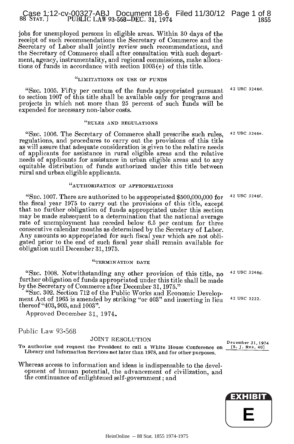# PUBLIC LAW 93-568-DEC. 31, 1974 **88 STAT.** ] **1855** Case 1:12-cv-00327-ABJ Document 18-6 Filed 11/30/12 Page 1 of 8

jobs for unemployed persons in eligible areas. Within 30 days of the receipt of such recommendations the Secretary of Commerce and the Secretary of Labor shall jointly review such recommendations, and the Secretary of Commerce shall after consultation with such department, agency, instrumentality, and regional commissions, make allocations of funds in accordance with section 1003(e) of this title.

#### "4LIMITATIONS **ON USE** OF **FUNDS**

"SEC. 1005. Fifty per centum of the funds appropriated pursuant to section 1007 of this title shall be available only for programs and projects in which not more than 25 percent of such funds will be expended for necessary non-labor costs.

#### **"RULES AND REGULATIONS**

"SEC. **1006.** The Secretary of Commerce shall prescribe such rules, regulations, and procedures to carry out the provisions of this title as will assure that adequate consideration is given to the relative needs of applicants for assistance in rural eligible areas and the relative equitable distribution of funds authorized under this title between rural and urban eligible applicants.

#### **"A** UTHORIZATION OF APPROPRIATIONS

"SEC. 1007. There are authorized to be appropriated \$500,000,000 for the fiscal year 1975 to carry out the provisions of this title, except that no further obligation of funds appropriated under this section may be made subsequent to a determination that the national average rate of unemployment has receded below 6.5 per centum for three consecutive calendar months as determined by the Secretary of Labor. Any amounts so appropriated for such fiscal year which are not obligated prior to the end of such fiscal year shall remain available for obligation until December 31, 1975.

### "4TERMINATION **DATE**

**"SEC. 1008.** Notwithstanding any other provision of this title, no further obligation of funds appropriated under this title shall be made **by** the Secretary of Commerce after December **31, 1975."** "SEC. 302. Section 712 of the Public Works and Economic Develop-

ment Act of 1965 is amended **by** striking "or 403" and inserting in lieu thereof "403, 903, and 1003".

Approved December 31, 1974.

Public Law 93-568

# JOINT RESOLUTION December **31,** <sup>1974</sup>

To authorize and request the President to call a White House Conference on **FS. J.** Res. **40]** Library and Information Services not later than 1978, and for other purposes.

Whereas access to information and ideas is indispensable to the development of human potential, the advancement of civilization, and the continuance of enlightened self-government; and

42 **USC 3246d.**

42 **USC** 3246e.

42 **USC 3246f.**

42 **USC 3246g.**

42 **USC 3222.**

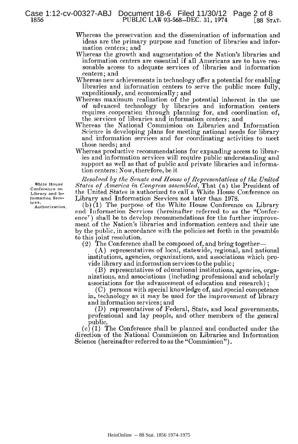Whereas the preservation and the dissemination of information and ideas are the primary purpose and function of libraries and information centers; and

Whereas the growth and augmentation of the Nation's libraries and information centers are essential if all Americans are to have reasonable access to adequate services of libraries and information centers; and

Whereas new achievements in technology offer a potential for enabling libraries and information centers to serve the public more fully, expeditiously, and economically; and

Whereas maximum realization of the potential inherent in the use of advanced technology by libraries and information centers requires cooperation through planning for, and coordination of, the services of libraries and information centers; and

Whereas the National Commission on Libraries and Information Science is developing plans for meeting national needs for library and information services and for coordinating activities to meet those needs; and

Whereas productive recommendations for expanding access to libraries and information services will require public understanding and support as well as that of public and private libraries and information centers: Now, therefore, be it

*Resolved by the Senate and House of Representatives of the United States of America* in *Congress assembled,* That (a) the President of the United States is authorized to call a White House Conference on Library and Information Services not later than 1978.

(b) (1) The purpose of the White House Conference on Library and Information Services (hereinafter referred to as the "Conference") shall be to develop recommendations for the further improvement of the Nation's libraries and information centers and their use by the public, in accordance with the policies set forth in the preamble to this joint resolution.

 $(2)$  The Conference shall be composed of, and bring together-

(A) representatives of local, statewide, regional, and national institutions, agencies, organizations, and associations which provide library and information services to the public;

(B) representatives of educational institutions, agencies, organizations, and associations (including professional and scholarly associations for the advancement of education and research) **;**

(C) persons with special knowledge of, and special competence in, technology as it may be used for the improvement of library and information services; and

(D) representatives of Federal, State, and local governments, professional and lay people, and other members of the general public.

(c) (1) The Conference shall be planned and conducted under the direction of the National Commission on Libraries and Information Science (hereinafter referred to as the "Commission").

White House Conference on Library and Information Services. Authorization.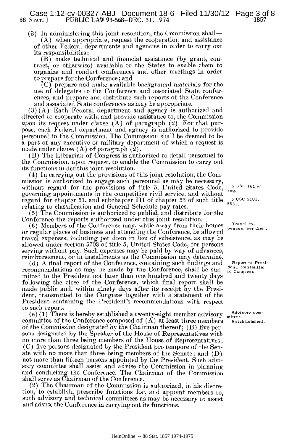$(2)$  In administering this joint resolution, the Commission shall-

(A) when appropriate, request the cooperation and assistance of other Federal departments and agencies in order to carry out its responsibilities;

(B) make technical and financial assistance (by grant, contract, or otherwise) available to the States to enable them to organize and conduct conferences and other meetings in order to prepare for the Conference; and

 $\overline{(C)}$  prepare and make available background materials for the use of delegates to the Conference and associated State conferences, and prepare and distribute such reports of the Conference and associated State conferences as may be appropriate.

(3) (A) Each Federal department and agency is authorized and directed to cooperate with, and provide assistance to, the Commission upon its request under clause  $(A)$  of paragraph  $(2)$ . For that purpose, each Federal department and agency is authorized to provide personnel to the Commission. The Commission shall be deemed to be a part of any executive or military department of which a request is made under clause  $(A)$  of paragraph  $(2)$ .

(B) The Librarian of Congress is authorized to detail personnel to the Commission, upon request. to enable the Commission to carry out its functions under this joint resolution.

(4) In carrying out the provisions of this joint resolution, the Commission is authorized to engage such personnel as may be necessary, without regard for the provisions of title 5, United States Code, governing appointments in the competitive civil service, and without regard for chapter 51, and subchapter III of chapter **53** of such title relating to classification and General Schedule pay rates.

(5) The Commission is authorized to publish and distribute for the Conference the reports authorized under this joint resolution.

(6) Members of the Conference may, while away from their homes or regular places of business and attending the Conference, be allowed travel expenses, including per diem in lieu of subsistence, as may be allowed under section 5703 of title 5, United States Code, for persons serving without pay. Such expenses may be paid by way of advances, reimbursement, or in installments as the Commission may determine.

(d) A final report of the Conference, containing such findings and recommendations as may be made by the Conference, shall be submitted to the President not later than one hundred and twenty days following the close of the Conference, which final report shall be made public and, within ninety days after its receipt by the President, transmitted to the Congress together with a statement of the President containing the President's recommendations with respect to such report.

(e) (1) There is hereby established a twenty-eight member advisory committee of the Conference composed of (A) at least three members of the Commission designated by the Chairman thereof; (B) five persons designated by the Speaker of the House of Representatives with no more than three being members of the House of Representatives; *(C)* five persons designated by the President pro tempore of the Senate with no more than three being members of the Senate; and (D) not more than fifteen persons appointed by the President. Such advisory committee shall assist and advise the Commission in planning and conducting the Conference. The Chairman of the Commission shall serve as Chairman of the Conference.

(2) The Chairman of the Commission is authorized, in his discretion, to establish, prescribe functions for, and appoint members to, such advisory and technical committees as may be necessary to assist and advise the Conference in carrying out its functions.

*<sup>5</sup>***USC** 101 *et* seq.

**5 usc 5101,** 5331.

Travel expenses, per diem.

Report **to** President, transmittal to Congress.

Advisory committee. Establishment.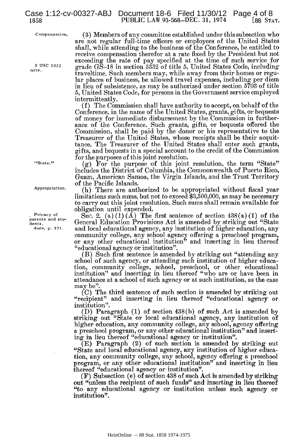## PUBLIC LAW 93-568-DEC. 31, 1974 **1858 [88 STAT,** Case 1:12-cv-00327-ABJ Document 18-6 Filed 11/30/12 Page 4 of 8

Compensation. (3) Members of any committee established under this subsection who are not regular full-time officers or employees of the United States shall, while attending to the business of the Conference, be entitled to receive compensation therefor at a rate fixed by the President but not exceeding the rate of pay specified at the time of such service for *5 USC* **S332** grade GS-18 in section 5332 of title 5, United States Code, including traveltime. Such members may, while away from their homes or regular places of business, be allowed travel expenses, including per diem in lieu of subsistence, as may be authorized under section 5703 of title 5, United States Code, for persons in the Government service employed intermittently.

> (f) The Commission shall have authority to accept, on behalf of the Conference, in the name of the United States, grants, gifts, or bequests of money for immediate disbursement by the Commission in furtherance of the Conference. Such grants, gifts, or bequests offered the Commission, shall be paid by the donor or his representative to the Treasurer of the United States, whose receipts shall be their acquittance. The Treasurer of the United States shall enter such grants, gifts, and bequests in a special account to the credit of the Commission for the purposes of this joint resolution.

 $f_{\text{state}}$ ." (g) For the purpose of this joint resolution, the term "State" includes the District of Columbia, the Commonwealth of Puerto Rico, Guam, American Samoa, the Virgin Islands, and the Trust Territory of the Pacific Islands.

Appropriation. (h) There are authorized to be appropriated without fiscal year limitations such sums, but not to exceed \$3,500,000, as may be necessary to carry out this joint resolution. Such sums shall remain available for obligation until expended.

Privacy of SEC. 2. (a) (1) (A) The first sentence of section  $438(a)(1)$  of the dents. and stu-<br>dents. General Education Provisions Act is amended by striking out "State<br>Ante, p. 571. and local educational agency, any institution of higher education, any and local educational agency, any institution of higher education, any community college, any school agency offering a preschool program, or any other educational institution" and inserting in lieu thereof "educational agency or institution".

(B) Such first sentence is amended by striking out "attending any school of such agency, or attending such institution of higher education, community college, school, preschool, or other educational institution" and inserting in lieu thereof "who are or have been in attendance at a school of such agency or at such institution, as the case may be".

**(C)** The third sentence of such section is amended by striking out "recipient" and inserting in lieu thereof "educational agency or institution".

(D) Paragraph (1) of section 438(b) of such Act is amended by striking out "State or local educational agency, any institution of higher education, any community college, any school, agency offering a preschool program, or any other educational institution" and inserting in lieu thereof "educational agency or institution".

(E) Paragraph (2) of such section is amended by striking out "State and local educational agency, any institution of higher education, any community college, any school, agency offering a preschool program, or any other educational institution" and inserting in lieu thereof "educatonal agency or institution".

(F) Subsection (e) of section 438 of such Act is amended by striking out "unless the recipient of such funds" and inserting in lieu thereof "to any educational agency or institution unless such agency or institution".

parents and stu-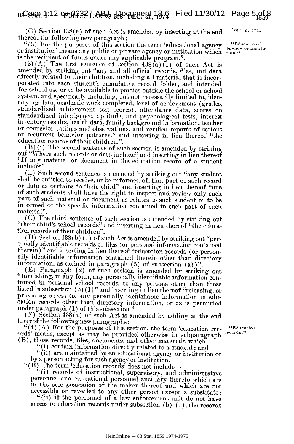(G) Section 438(a) of such Act is amended by inserting at the end *Ante,* **p. 571.** thereof the following new paragraph:

"(3) For the purposes of this section the term 'educational agency "Educational" (b) For the purposes of this section the term equivalently agency  $\frac{1}{\text{gency}}$  or institution.<br>or institution means any public or private agency or institution which  $\frac{1}{\text{tion}}$ ."

 $\Gamma(2)$  (A) The first sentence of section 438(a) (1) of such Act is amended by striking out "any and all official records, files, and data directly related to their children, including all material that is incor-<br>porated into each student's cumulative record folder, and intended<br>for school use or to be available to parties outside the school or school system, and specifically including, but not necessarily limited to, iden-<br>tifying data, academic work completed, level of achievement (grades, standardized achievement test scores), attendance data, scores on<br>standardized intelligence, aptitude, and psychological tests, interest<br>inventory results, health data, family background information, teacher or counselor ratings and observations, and verified reports of serious or recurrent behavior patterns." and inserting in lieu thereof "the education records of their children.".<br>
(B) (i) The second sentence of such section is amended by striking

out "Where such records or data include" and inserting in lieu thereof<br>"If any material or document in the education record of a student includes".

(ii) Such second sentence is amended by striking out "any student shall be entitled to receive, or be informed of, that part of such record or data as pertains to their child" and inserting in lieu thereof "one of such students shall have the right to inspect and review only such part of such material or document as relates to such student or to be informed of the specific information contained in such part of such material".<br>
(C) The third sentence of such section is amended by striking out

"their child's school records" and inserting in lieu thereof "the education records of their children".<br>(D) Section 438(b) (1) of such Act is amended by striking out "per-

sonally identifiable records or files (or personal information contained<br>therein)" and inserting in lieu thereof "education records (or person-<br>ally identifiable information contained therein other than directory<br>informat

listed in subsection  $(b) (1)$ " and inserting in lieu thereof "releasing, or<br>providing access to, any personally identifiable information in edu-<br>cation records other than directory information, or as is permitted<br>under par

 $(F)$  Section 438(a) of such Act is amended by adding at the end thereof the following new paragraphs:

 $t''(4)$  (A) For the purposes of this section, the term 'education rec-  $t''$ <sup>Education</sup> ords' means, except as may be provided otherwise in subparagraph (B), those records, files, documents, and other materials which-<br>"(i) contain information directly related to a student; and

"(ii) are maintained by an educational agency or institution or by a person acting for such agency or institution.

" $(B)$  The term 'education records' does not include-

 $``(i)$  records of instructional, supervisory, and administrative personnel and educational personnel ancillary thereto which are in the sole possession of the maker thereof and which are not

accessible or revealed to any other person except a substitute; "(ii) if the personnel of a law enforcement unit do not have access to education records under subsection (b) (1), the records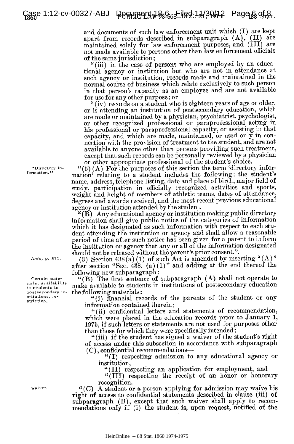and documents of such law enforcement unit which (I) are kept apart from records described in subparagraph **(A),** (IT) are maintained solely for law enforcement purposes, and (III) are not made available to persons other than law enforcement officials of the same jurisdiction;

"(iii) in the case of persons who are employed by an educational agency or institution but who are not in attendance at such agency or institution, records made and maintained in the normal course of business which relate exclusively to such person in that person's capacity as an employee and are not available for use for any other purpose; or

" $(iv)$  records on a student who is eighteen years of age or older, or is attending an institution of postsecondary education, which are made or maintained by a physician, psychiatrist, psychologist, or other recognized professional or paraprofessional acting in his professional or paraprofessional capacity, or assisting in that capacity, and which are made, maintained, or used only in connection with the provision of treatment to the student, and are not available to anyone other than persons providing such treatment, except that such records can be personally reviewed by a physician or other appropriate professional of the student's choice.

"Directory in- " $(5)$  (A) For the purposes of this section the term 'directory infor**rmation."** mation' relating to a student includes the following: the student's name, address, telephone listing, date and place of birth, major field of study, participation in officially recognized activities and sports, weight and height of members of athletic teams, dates of attendance, degrees and awards received, and the most recent previous educational agency or institution attended by the student.

 $``$ (B) Any educational agency or institution making public directory information shall give public notice of the categories of information which it has designated as such information with respect to each student attending the institution or agency and shall allow a reasonable period of time after such notice has been given for a parent to inform the institution or agency that any or all of the information designated should not be released without the parent's prior consent.".

*Ante, p. 571.* (3) Section  $438(a)(1)$  of such Act is amended by inserting " $(A)$ " after section "SEC.  $438$ . (a) (1)" and adding at the end thereof the following new subparagraph:

 $f_{\text{certain mate}}$  "(B) The first sentence of subparagraph (A) shall not operate to rials, availability make available to students in institutions of postsecondary education to students in expansion postsecondary education ost.econdary **in-** the following materials:

"(i) financial records of the parents of the student or any information contained therein;

"(ii) confidential letters and statements of recommendation, which were placed in the education records prior to January 1, 1975, if such letters or statements are not used for purposes oiher than those for which they were specifically intended ;

"(iii) if the student has signed a waiver of the student's right of access under this subsection in accordance with subparagraph (C), confidential recommendations-

"(I) respecting admission to any educational agency of institution,

"(II) respecting an application for employment, and "(III) respecting the receipt of an honor or honorary

**Precognition.**<br>Waiver. **2008 "** (C) A student or a person applying for admission may waive his right of access to confidential statements descrjbed in clause (iii) of subparagraph (B), except that such waiver shall apply to recommendations only if (i) the student is, upon request, notified of the

formation.'

rials, availability to **pc** striction.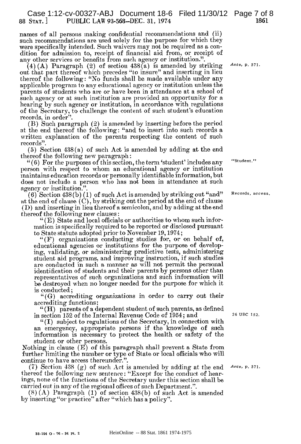names of all persons making confidential recommendations and (ii) such recommendations are used solely for the purpose for which they were specifically intended. Such waivers may not be required as a condition for admission to, receipt of financial aid from, or receipt of any other services or benefits from such agency or institution.".

 $(4)$  (A) Paragraph (2) of section  $438(a)$  is amended by striking out that part thereof which precedes "to insure" and inserting in lieu thereof the following: "No funds shall be made available under any applicable program to any educational agency or institution unless the parents of students who are or have been in attendance at a school of such agency or at such institution are provided an opportunity for a hearing by such agency or institution, in accordance with regulations of the Secretary, to challenge the content of such student's education records, in order".

(B) Such paragraph (2) is amended **by** inserting before the period at the end thereof the following: "and to insert into such records a written explanation of the parents respecting the content of such records".

(5) Section 438(a) of such Act is amended by adding at the end thereof the following new paragraph:

 $((6)$  For the purposes of this section, the term 'student' includes any person with respect to whom an educational agency or institution maintains education records or personally identifiable information, but does not include a person who has not been in attendance at such agency or institution.".

(6) Section  $438(b)(1)$  of such Act is amended by striking out "and" at the end of clause  $(\hat{C})$ , by striking out the period at the end of clause (D) and inserting in lieu thereof a semicolon, and by adding at the end thereof the following new clauses:

"(E) State and local officials or authorities to whom such information is specifically required to be reported or disclosed pursuant to State statute adopted prior to November 19, 1974;

" $(F)$  organizations conducting studies for, or on behalf of, educational agencies or institutions for the purpose of developing, validating, or administering predictive tests, administering student aid programs, and improving instruction, if such studies are conducted in such a manner as will not permit the personal identification of students and their parents  $b\bar{y}$  persons other than representatives of such organizations and such information will be destroyed when no longer needed for the purpose for which it is conducted;

"(G) accrediting organizations in order to carry out their accrediting functions;

 $\rm ^*(H)$  parents of a dependent student of such parents, as defined in section **152** of the Internal Revenue Code of 1954; and

 $''(I)$  subject to regulations of the Secretary, in connection with an emergency, appropriate persons if the knowledge of such information is necessary to protect the health or safety of the student or other persons.

Nothing in clause **(E)** of this paragraph shall prevent a State from further limiting the number or type of State or local officials who will continue to have access thereunder.".

(7) Section 438 (g) of such Act is amended by adding at the end thereof the following new sentence: "Except for the conduct of hearings, none of the functions of the Secretary under this section shall be carried out in any of the regional offices of such Department.".

 $(8)$  (A) Paragraph  $(1)$  of section 438(b) of such Act is amended by inserting "or practice" after "which has a policy".

*Ante,* **p.** 571.

"Student."

Records, access.

**26** USC **152.**

*Ante,* **p. 571.**